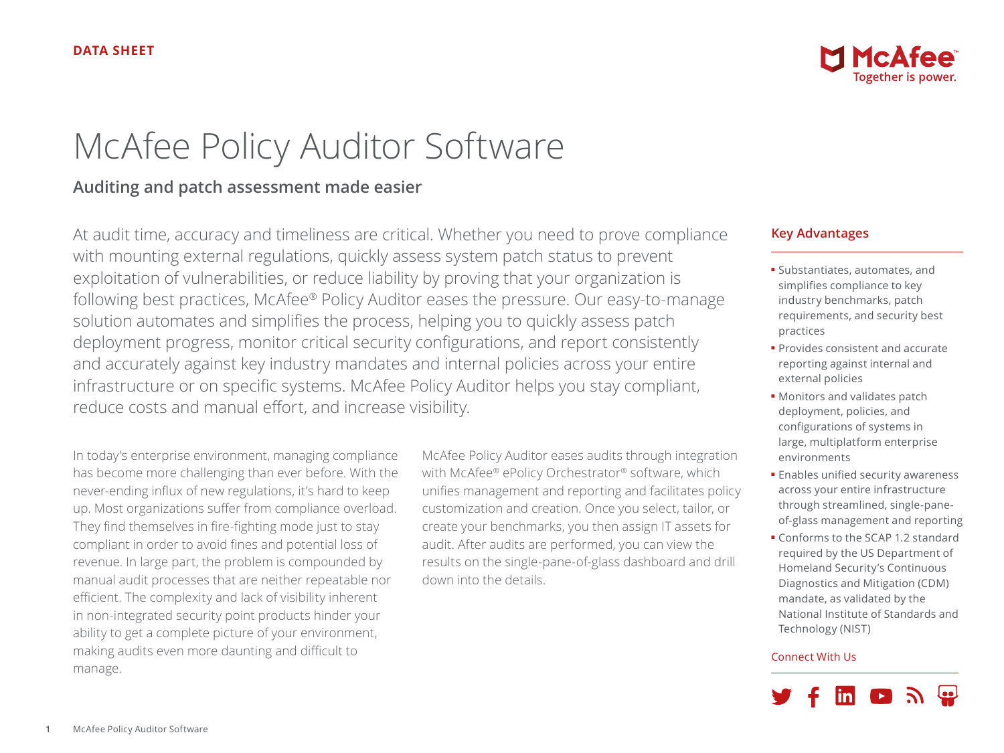

# McAfee Policy Auditor Software

## **Auditing and patch assessment made easier**

At audit time, accuracy and timeliness are critical. Whether you need to prove compliance with mounting external regulations, quickly assess system patch status to prevent exploitation of vulnerabilities, or reduce liability by proving that your organization is following best practices, McAfee® Policy Auditor eases the pressure. Our easy-to-manage solution automates and simplifies the process, helping you to quickly assess patch deployment progress, monitor critical security configurations, and report consistently and accurately against key industry mandates and internal policies across your entire infrastructure or on specific systems. McAfee Policy Auditor helps you stay compliant, reduce costs and manual effort, and increase visibility.

In today's enterprise environment, managing compliance has become more challenging than ever before. With the never-ending influx of new regulations, it's hard to keep up. Most organizations suffer from compliance overload. They find themselves in fire-fighting mode just to stay compliant in order to avoid fines and potential loss of revenue. In large part, the problem is compounded by manual audit processes that are neither repeatable nor efficient. The complexity and lack of visibility inherent in non-integrated security point products hinder your ability to get a complete picture of your environment, making audits even more daunting and difficult to manage.

McAfee Policy Auditor eases audits through integration with McAfee® ePolicy Orchestrator® software, which unifies management and reporting and facilitates policy customization and creation. Once you select, tailor, or create your benchmarks, you then assign IT assets for audit. After audits are performed, you can view the results on the single-pane-of-glass dashboard and drill down into the details.

#### **Key Advantages**

- Substantiates, automates, and simplifies compliance to key industry benchmarks, patch requirements, and security best practices
- Provides consistent and accurate reporting against internal and external policies
- Monitors and validates patch deployment, policies, and configurations of systems in large, multiplatform enterprise environments
- Enables unified security awareness across your entire infrastructure through streamlined, single-paneof-glass management and reporting
- Conforms to the SCAP 1.2 standard required by the US Department of Homeland Security's Continuous Diagnostics and Mitigation (CDM) mandate, as validated by the National Institute of Standards and Technology (NIST)

#### Connect With Us

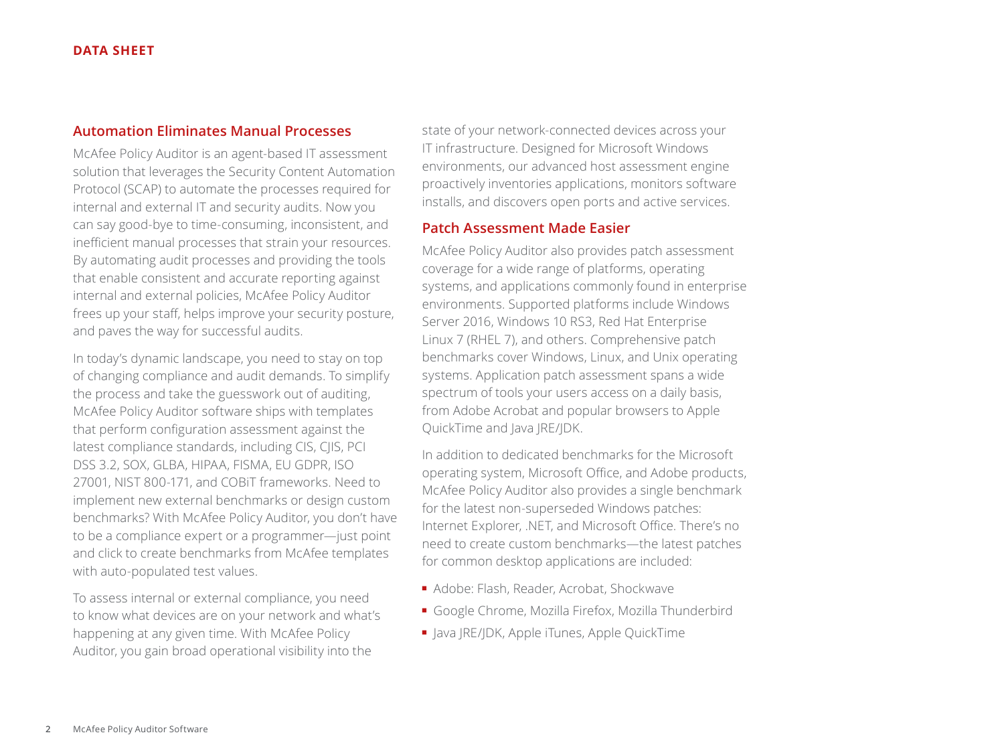#### **Automation Eliminates Manual Processes**

McAfee Policy Auditor is an agent-based IT assessment solution that leverages the Security Content Automation Protocol (SCAP) to automate the processes required for internal and external IT and security audits. Now you can say good-bye to time-consuming, inconsistent, and inefficient manual processes that strain your resources. By automating audit processes and providing the tools that enable consistent and accurate reporting against internal and external policies, McAfee Policy Auditor frees up your staff, helps improve your security posture, and paves the way for successful audits.

In today's dynamic landscape, you need to stay on top of changing compliance and audit demands. To simplify the process and take the guesswork out of auditing, McAfee Policy Auditor software ships with templates that perform configuration assessment against the latest compliance standards, including CIS, CJIS, PCI DSS 3.2, SOX, GLBA, HIPAA, FISMA, EU GDPR, ISO 27001, NIST 800-171, and COBiT frameworks. Need to implement new external benchmarks or design custom benchmarks? With McAfee Policy Auditor, you don't have to be a compliance expert or a programmer—just point and click to create benchmarks from McAfee templates with auto-populated test values.

To assess internal or external compliance, you need to know what devices are on your network and what's happening at any given time. With McAfee Policy Auditor, you gain broad operational visibility into the

state of your network-connected devices across your IT infrastructure. Designed for Microsoft Windows environments, our advanced host assessment engine proactively inventories applications, monitors software installs, and discovers open ports and active services.

#### **Patch Assessment Made Easier**

McAfee Policy Auditor also provides patch assessment coverage for a wide range of platforms, operating systems, and applications commonly found in enterprise environments. Supported platforms include Windows Server 2016, Windows 10 RS3, Red Hat Enterprise Linux 7 (RHEL 7), and others. Comprehensive patch benchmarks cover Windows, Linux, and Unix operating systems. Application patch assessment spans a wide spectrum of tools your users access on a daily basis, from Adobe Acrobat and popular browsers to Apple QuickTime and Java JRE/JDK.

In addition to dedicated benchmarks for the Microsoft operating system, Microsoft Office, and Adobe products, McAfee Policy Auditor also provides a single benchmark for the latest non-superseded Windows patches: Internet Explorer, .NET, and Microsoft Office. There's no need to create custom benchmarks—the latest patches for common desktop applications are included:

- Adobe: Flash, Reader, Acrobat, Shockwave
- Google Chrome, Mozilla Firefox, Mozilla Thunderbird
- Java JRE/JDK, Apple iTunes, Apple QuickTime